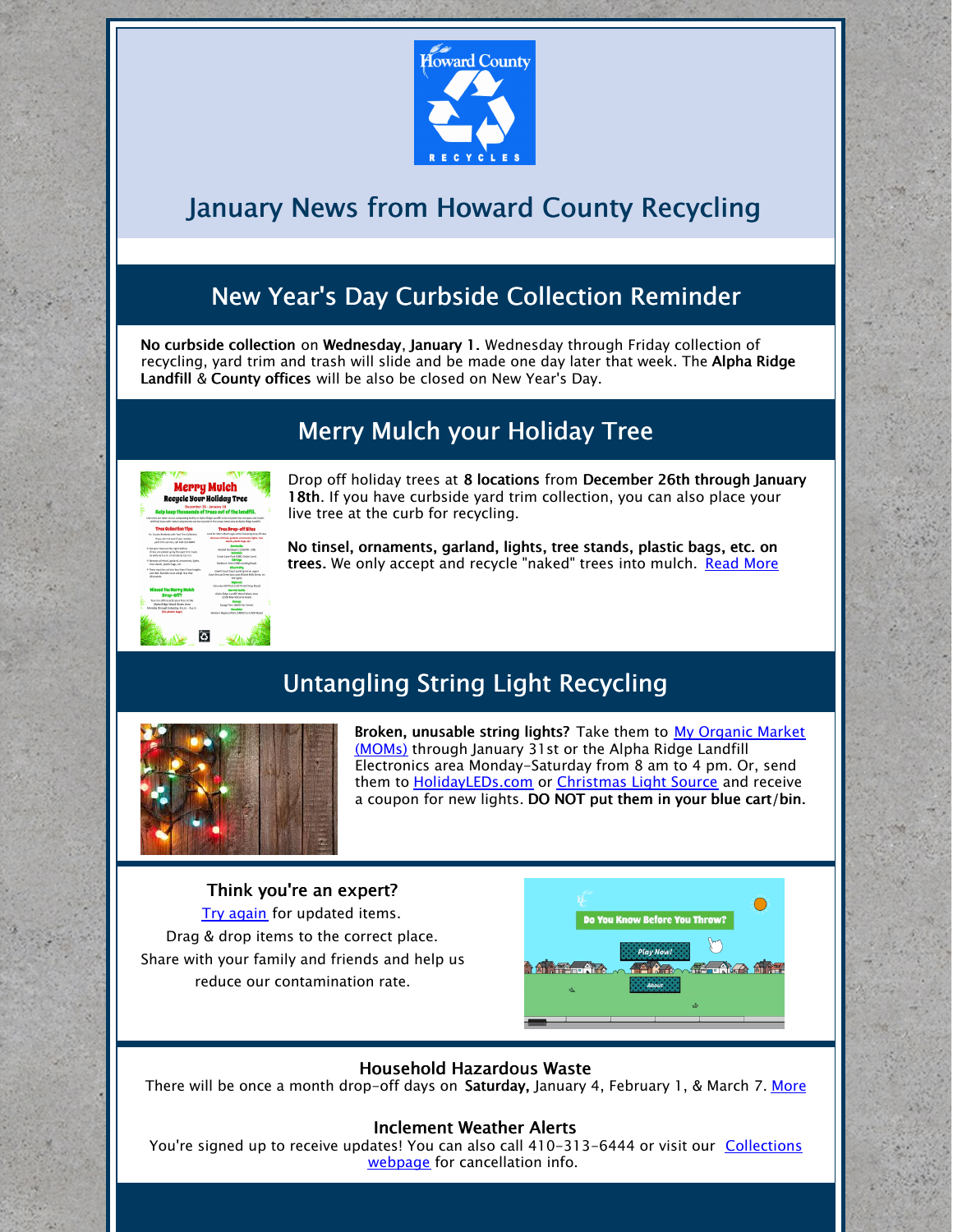

# January News from Howard County Recycling

# New Year's Day Curbside Collection Reminder

No curbside collection on Wednesday, January 1. Wednesday through Friday collection of recycling, yard trim and trash will slide and be made one day later that week. The Alpha Ridge Landfill & County offices will be also be closed on New Year's Day.

## Merry Mulch your Holiday Tree

| <b>Merry Mulch</b><br>Recycle Your Holiday Tree<br>December 26 - January 18<br>Help keep thousands of trees out of the landfill.<br>Use trees are taken to our composited facility at Alaba finite Carolini to be recycled into composition in Alaba.<br>Arthaulteres with rwital consonrets can be recycled in the saxoa metal area at Boha Riday Landfill. |                                                                                                                                      |                                                                             |                                                                                     |
|--------------------------------------------------------------------------------------------------------------------------------------------------------------------------------------------------------------------------------------------------------------------------------------------------------------------------------------------------------------|--------------------------------------------------------------------------------------------------------------------------------------|-----------------------------------------------------------------------------|-------------------------------------------------------------------------------------|
|                                                                                                                                                                                                                                                                                                                                                              |                                                                                                                                      | <b>Tree Collection Tips</b>                                                 | <b>Tree Drop-off Sites</b>                                                          |
|                                                                                                                                                                                                                                                                                                                                                              |                                                                                                                                      | For County Residents with Yard Don Collection.                              | Less for Merry Middle sters at the following drive off sites.                       |
|                                                                                                                                                                                                                                                                                                                                                              |                                                                                                                                      | If you are not sure if you receive.<br>part trim service, call 433-513-6444 | Bernstein Education Institute components, Safety, trees<br>stands, plotfit has etc. |
| It fast sour tree mat the night before.<br>Chrony are related an by the ward trim truck.<br>as early as 6 a.m. or as late as 5 p.m.).                                                                                                                                                                                                                        | Ciertovito<br>Kendal Hawleyer (1770) Br. 138)<br>Cedar Lane Park (1895) Cedar Lanet                                                  |                                                                             |                                                                                     |
| it flemme all Head, parland venaments, lights,<br>tree stands, stands bags, etc.                                                                                                                                                                                                                                                                             | <b>Electrician</b><br>Rockburn Park (5400 Landing Road)                                                                              |                                                                             |                                                                                     |
| * Trep must be cut into los than 4 foot lengths<br>and field. Romfley must watch less than<br><b>GE council.</b>                                                                                                                                                                                                                                             | <b>Client City</b><br>Small Clearit Court parking let on upper<br>Court House Drive (suit cost Elliquit Milk Drive, on<br>the right? |                                                                             |                                                                                     |
|                                                                                                                                                                                                                                                                                                                                                              | Schweize Mill Park (1997), Kell Share Brazil.                                                                                        |                                                                             |                                                                                     |
| <b>Missed the Herry Mulch</b><br>Drop-Off?                                                                                                                                                                                                                                                                                                                   | <b>Manufacturally</b><br>Alpha Rideo Landfill Wood Wautz Area<br>DVO Martinholds Board.                                              |                                                                             |                                                                                     |
| You can still considerate from at the<br>Kisha Kidea Wood Waste Area                                                                                                                                                                                                                                                                                         | <b>Severe</b><br>Source: Park DODD Fair Street)                                                                                      |                                                                             |                                                                                     |
| Mandas though Schedus, Ka.m. - Ea.m.<br>09s plentic bars)                                                                                                                                                                                                                                                                                                    | Mondiales<br>Vierters Regional Park (1480) Cans Mill Road                                                                            |                                                                             |                                                                                     |

Drop off holiday trees at 8 locations from December 26th through January 18th. If you have curbside yard trim collection, you can also place your live tree at the curb for recycling.

No tinsel, ornaments, garland, lights, tree stands, plastic bags, etc. on trees. We only accept and recycle "naked" trees into mulch. [Read](https://www.howardcountymd.gov/Departments/Public-Works/Bureau-Of-Environmental-Services/Recycling/Yard-Trim/Merry-Mulch) More

### Untangling String Light Recycling



Broken, [unusable](https://momsorganicmarket.com/) string lights? Take them to My Organic Market (MOMs) through January 31st or the Alpha Ridge Landfill Electronics area Monday-Saturday from 8 am to 4 pm. Or, send them to **[HolidayLEDs.com](https://www.howardcountymd.gov/LinkClick.aspx?link=http%3a%2f%2fwww.holidayleds.com%2fchristmas-light-recycling-program.aspx&tabid=1489&portalid=0&mid=5090)** or *[Christmas](https://www.howardcountymd.gov/LinkClick.aspx?link=http%3a%2f%2fwww.christmas-light-source.com%2fChristmas-Lights-Recycling-Program_c_210.html&tabid=1489&portalid=0&mid=5090) Light Source* and receive a coupon for new lights. DO NOT put them in your blue cart/bin.

### Think you're an expert?

Try [again](http://howardcountymd.recycle.game/) for updated items. Drag & drop items to the correct place. Share with your family and friends and help us reduce our contamination rate.



### Household Hazardous Waste

There will be once a month drop-off days on Saturday, January 4, February 1, & March 7. [More](https://www.howardcountymd.gov/Departments/Public-Works/Bureau-Of-Environmental-Services/Alpha-Ridge-Landfill/Household-Hazardous-Waste)

### Inclement Weather Alerts

You're signed up to receive updates! You can also call [410-313-6444](https://www.howardcountymd.gov/Departments/Public-Works/Bureau-Of-Environmental-Services/Curbside-Collections) or visit our Collections webpage for cancellation info.